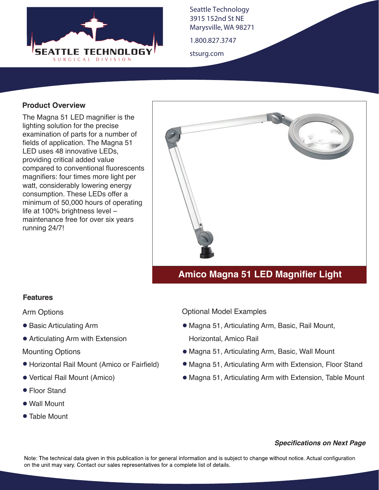

Seattle Technology 3915 152nd St NE Marysville, WA 98271

1.800.827.3747

stsurg.com

## **Product Overview**

The Magna 51 LED magnifier is the lighting solution for the precise examination of parts for a number of fields of application. The Magna 51 LED uses 48 innovative LEDs, providing critical added value compared to conventional fluorescents magnifiers: four times more light per watt, considerably lowering energy consumption. These LEDs offer a minimum of 50,000 hours of operating life at 100% brightness level – maintenance free for over six years running 24/7!



# **Amico Magna 51 LED Magnifier Light**

### **Features**

Arm Options

- Basic Articulating Arm
- Articulating Arm with Extension

Mounting Options

- Horizontal Rail Mount (Amico or Fairfield)
- Vertical Rail Mount (Amico)
- Floor Stand
- Wall Mount
- Table Mount

### Optional Model Examples

- Magna 51, Articulating Arm, Basic, Rail Mount, Horizontal, Amico Rail
- Magna 51, Articulating Arm, Basic, Wall Mount
- Magna 51, Articulating Arm with Extension, Floor Stand
- Magna 51, Articulating Arm with Extension, Table Mount

#### *Specifications on Next Page*

Note: The technical data given in this publication is for general information and is subject to change without notice. Actual configuration on the unit may vary. Contact our sales representatives for a complete list of details.